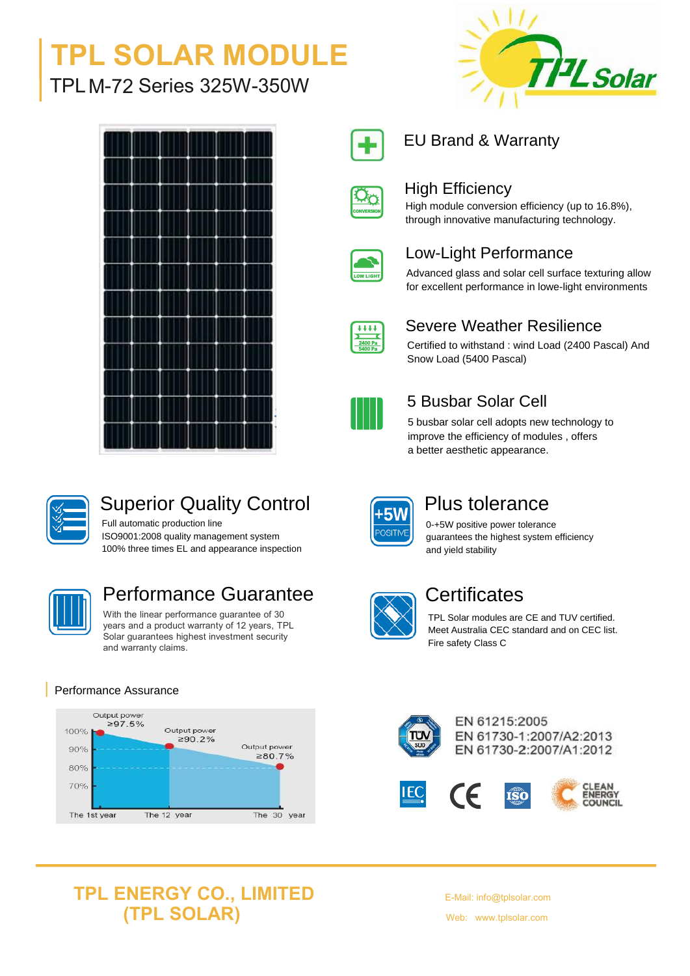# TPL SOLAR MODULE<br>The Macrosoft of the Solar Solar Contact of the Solar Solar Solar TPLM-72 Series 325W-350W







## Superior Quality Control

Full automatic production line ISO9001:2008 quality management system 100% three times EL and appearance inspection



## Performance Guarantee **Communists** Certificates

With the linear performance guarantee of 30 years and a product warranty of 12 years, TPL Solar guarantees highest investment security and warranty claims.

#### Performance Assurance





#### EU Brand & Warranty



#### High Efficiency

High module conversion efficiency (up to 16.8%), through innovative manufacturing technology.

| LOW LIGH |  |
|----------|--|

#### Low-Light Performance

Advanced glass and solar cell surface texturing allow for excellent performance in lowe-light environments



#### Severe Weather Resilience

Certified to withstand : wind Load (2400 Pascal) And Snow Load (5400 Pascal)



#### 5 Busbar Solar Cell

5 busbar solar cell adopts new technology to improve the efficiency of modules , offers a better aesthetic appearance.

#### Plus tolerance

0-+5W positive power tolerance guarantees the highest system efficiency and yield stability

TPL Solar modules are CE and TUV certified. Meet Australia CEC standard and on CEC list. Fire safety Class C



EN 61215:2005 EN 61730-1:2007/A2:2013 EN 61730-2:2007/A1:2012

 $\widehat{\textbf{rso}}$ 

**IEC**  $\epsilon$ 



### **TPL ENERGY CO., LIMITED (TPL SOLAR)**

E-Mail: info@tplsolar.com Web: www.tplsolar.com